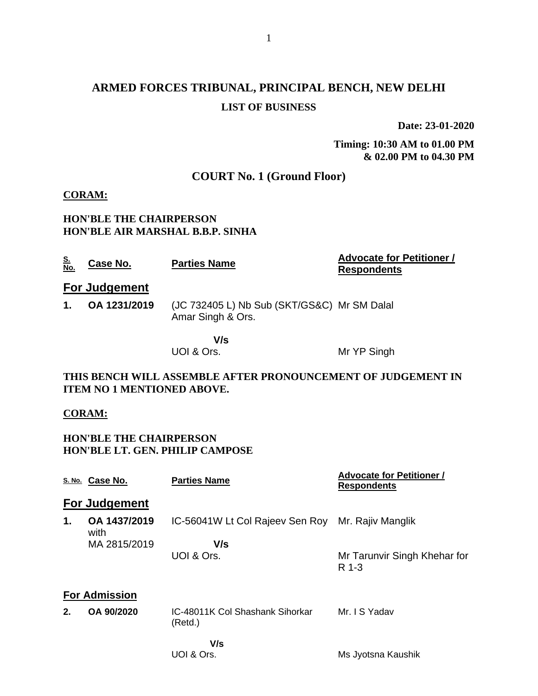# **ARMED FORCES TRIBUNAL, PRINCIPAL BENCH, NEW DELHI LIST OF BUSINESS**

**Date: 23-01-2020**

**Timing: 10:30 AM to 01.00 PM & 02.00 PM to 04.30 PM**

## **COURT No. 1 (Ground Floor)**

#### **CORAM:**

**HON'BLE THE CHAIRPERSON HON'BLE AIR MARSHAL B.B.P. SINHA**

| <u>S.</u><br>No.                                                                                  | Case No.             | <b>Parties Name</b>                                              | <b>Advocate for Petitioner /</b><br><b>Respondents</b> |  |  |
|---------------------------------------------------------------------------------------------------|----------------------|------------------------------------------------------------------|--------------------------------------------------------|--|--|
|                                                                                                   | <b>For Judgement</b> |                                                                  |                                                        |  |  |
| 1.                                                                                                | OA 1231/2019         | (JC 732405 L) Nb Sub (SKT/GS&C) Mr SM Dalal<br>Amar Singh & Ors. |                                                        |  |  |
|                                                                                                   |                      | V/s<br>UOI & Ors.                                                | Mr YP Singh                                            |  |  |
| THIS BENCH WILL ASSEMBLE AFTER PRONOUNCEMENT OF JUDGEMENT IN<br><b>ITEM NO 1 MENTIONED ABOVE.</b> |                      |                                                                  |                                                        |  |  |
| <b>CORAM:</b>                                                                                     |                      |                                                                  |                                                        |  |  |
| <b>HON'BLE THE CHAIRPERSON</b><br><b>HON'BLE LT. GEN. PHILIP CAMPOSE</b>                          |                      |                                                                  |                                                        |  |  |
|                                                                                                   | S. No. Case No.      | <b>Parties Name</b>                                              | <b>Advocate for Petitioner /</b><br><b>Respondents</b> |  |  |
|                                                                                                   | Ear ludaamant        |                                                                  |                                                        |  |  |

#### **For Judgement**

| 1. | OA 1437/2019<br>with | IC-56041W Lt Col Rajeev Sen Roy Mr. Rajiv Manglik |                                       |
|----|----------------------|---------------------------------------------------|---------------------------------------|
|    | MA 2815/2019         | V/s<br>UOI & Ors.                                 | Mr Tarunvir Singh Khehar for<br>R 1-3 |
|    | <b>For Admission</b> |                                                   |                                       |

| OA 90/2020 | IC-48011K Col Shashank Sihorkar<br>(Red.) | Mr. I S Yadav |
|------------|-------------------------------------------|---------------|
|            |                                           |               |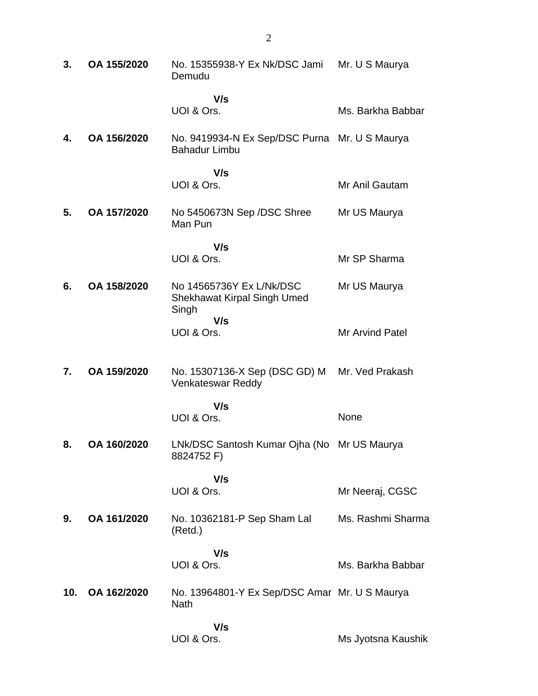| 3.  | OA 155/2020 | No. 15355938-Y Ex Nk/DSC Jami Mr. U S Maurya<br>Demudu                  |                        |
|-----|-------------|-------------------------------------------------------------------------|------------------------|
|     |             | V/s<br>UOI & Ors.                                                       | Ms. Barkha Babbar      |
| 4.  | OA 156/2020 | No. 9419934-N Ex Sep/DSC Purna Mr. U S Maurya<br><b>Bahadur Limbu</b>   |                        |
|     |             | V/s<br>UOI & Ors.                                                       | Mr Anil Gautam         |
| 5.  | OA 157/2020 | No 5450673N Sep /DSC Shree<br>Man Pun                                   | Mr US Maurya           |
|     |             | V/s<br>UOI & Ors.                                                       | Mr SP Sharma           |
| 6.  | OA 158/2020 | No 14565736Y Ex L/Nk/DSC<br><b>Shekhawat Kirpal Singh Umed</b><br>Singh | Mr US Maurya           |
|     |             | V/s<br>UOI & Ors.                                                       | <b>Mr Arvind Patel</b> |
| 7.  | OA 159/2020 | No. 15307136-X Sep (DSC GD) M<br>Venkateswar Reddy                      | Mr. Ved Prakash        |
|     |             | V/s<br>UOI & Ors.                                                       | None                   |
| 8.  | OA 160/2020 | LNk/DSC Santosh Kumar Ojha (No Mr US Maurya<br>8824752 F)               |                        |
|     |             | V/s<br>UOI & Ors.                                                       | Mr Neeraj, CGSC        |
| 9.  | OA 161/2020 | No. 10362181-P Sep Sham Lal<br>(Retd.)                                  | Ms. Rashmi Sharma      |
|     |             | V/s<br>UOI & Ors.                                                       | Ms. Barkha Babbar      |
| 10. | OA 162/2020 | No. 13964801-Y Ex Sep/DSC Amar Mr. U S Maurya<br><b>Nath</b>            |                        |
|     |             | V/s<br>UOI & Ors.                                                       | Ms Jyotsna Kaushik     |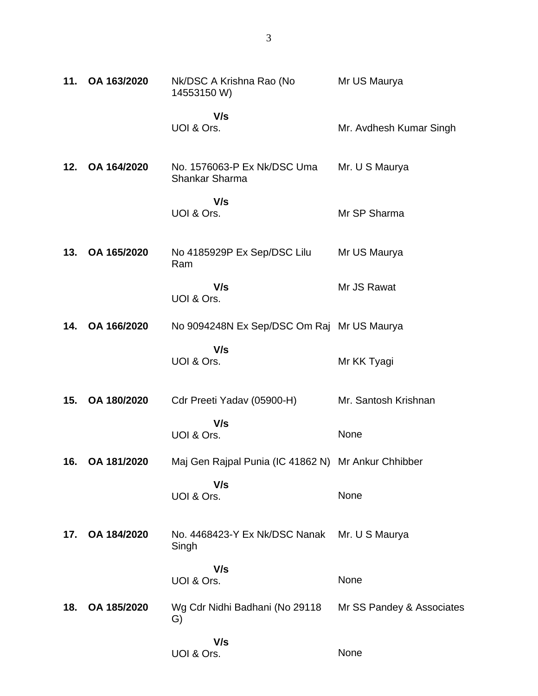| 11. | OA 163/2020 | Nk/DSC A Krishna Rao (No<br>14553150 W)                        | Mr US Maurya            |
|-----|-------------|----------------------------------------------------------------|-------------------------|
|     |             | V/s<br>UOI & Ors.                                              | Mr. Avdhesh Kumar Singh |
| 12. | OA 164/2020 | No. 1576063-P Ex Nk/DSC Uma<br><b>Shankar Sharma</b>           | Mr. U S Maurya          |
|     |             | V/s<br>UOI & Ors.                                              | Mr SP Sharma            |
| 13. | OA 165/2020 | No 4185929P Ex Sep/DSC Lilu Mr US Maurya<br>Ram                |                         |
|     |             | V/s<br>UOI & Ors.                                              | Mr JS Rawat             |
| 14. | OA 166/2020 | No 9094248N Ex Sep/DSC Om Raj Mr US Maurya                     |                         |
|     |             | V/s<br>UOI & Ors.                                              | Mr KK Tyagi             |
| 15. | OA 180/2020 | Cdr Preeti Yadav (05900-H)                                     | Mr. Santosh Krishnan    |
|     |             | V/s<br>UOI & Ors.                                              | None                    |
| 16. | OA 181/2020 | Maj Gen Rajpal Punia (IC 41862 N) Mr Ankur Chhibber            |                         |
|     |             | V/s<br>UOI & Ors.                                              | None                    |
| 17. | OA 184/2020 | No. 4468423-Y Ex Nk/DSC Nanak Mr. U S Maurya<br>Singh          |                         |
|     |             | V/s<br>UOI & Ors.                                              | None                    |
| 18. | OA 185/2020 | Wg Cdr Nidhi Badhani (No 29118 Mr SS Pandey & Associates<br>G) |                         |
|     |             | V/s<br>UOI & Ors.                                              | None                    |

3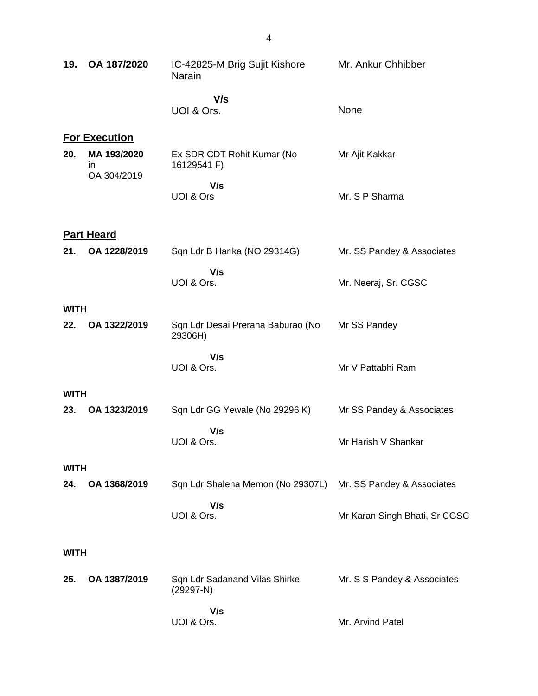| 19.         | OA 187/2020                       | IC-42825-M Brig Sujit Kishore<br>Narain      | Mr. Ankur Chhibber            |
|-------------|-----------------------------------|----------------------------------------------|-------------------------------|
|             |                                   | V/s<br>UOI & Ors.                            | None                          |
|             | <b>For Execution</b>              |                                              |                               |
| 20.         | MA 193/2020<br>in.<br>OA 304/2019 | Ex SDR CDT Rohit Kumar (No<br>16129541 F)    | Mr Ajit Kakkar                |
|             |                                   | V/s<br>UOI & Ors                             | Mr. S P Sharma                |
|             | <b>Part Heard</b>                 |                                              |                               |
| 21.         | OA 1228/2019                      | Sqn Ldr B Harika (NO 29314G)                 | Mr. SS Pandey & Associates    |
|             |                                   | V/s<br>UOI & Ors.                            | Mr. Neeraj, Sr. CGSC          |
| <b>WITH</b> |                                   |                                              |                               |
| 22.         | OA 1322/2019                      | Sqn Ldr Desai Prerana Baburao (No<br>29306H) | Mr SS Pandey                  |
|             |                                   | V/s<br>UOI & Ors.                            | Mr V Pattabhi Ram             |
| <b>WITH</b> |                                   |                                              |                               |
| 23.         | OA 1323/2019                      | Sqn Ldr GG Yewale (No 29296 K)               | Mr SS Pandey & Associates     |
|             |                                   | V/s<br>UOI & Ors.                            | Mr Harish V Shankar           |
| <b>WITH</b> |                                   |                                              |                               |
| 24.         | OA 1368/2019                      | Sqn Ldr Shaleha Memon (No 29307L)            | Mr. SS Pandey & Associates    |
|             |                                   | V/s<br>UOI & Ors.                            | Mr Karan Singh Bhati, Sr CGSC |
| <b>WITH</b> |                                   |                                              |                               |
| 25.         | OA 1387/2019                      | Sqn Ldr Sadanand Vilas Shirke<br>$(29297-N)$ | Mr. S S Pandey & Associates   |
|             |                                   | V/s<br>UOI & Ors.                            | Mr. Arvind Patel              |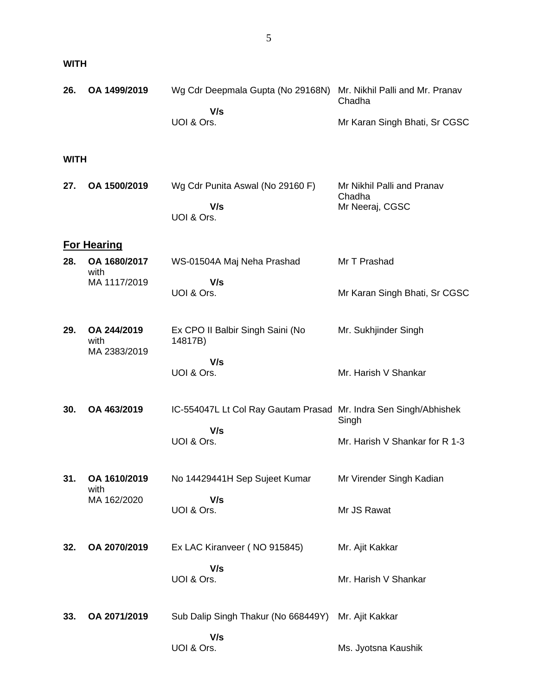5

### **WITH**

| 26.         | OA 1499/2019                        | Wg Cdr Deepmala Gupta (No 29168N)<br>V/s                         | Mr. Nikhil Palli and Mr. Pranav<br>Chadha               |
|-------------|-------------------------------------|------------------------------------------------------------------|---------------------------------------------------------|
|             |                                     | UOI & Ors.                                                       | Mr Karan Singh Bhati, Sr CGSC                           |
| <b>WITH</b> |                                     |                                                                  |                                                         |
| 27.         | OA 1500/2019                        | Wg Cdr Punita Aswal (No 29160 F)<br>V/s<br>UOI & Ors.            | Mr Nikhil Palli and Pranav<br>Chadha<br>Mr Neeraj, CGSC |
|             | <b>For Hearing</b>                  |                                                                  |                                                         |
| 28.         | OA 1680/2017<br>with                | WS-01504A Maj Neha Prashad                                       | Mr T Prashad                                            |
|             | MA 1117/2019                        | V/s<br>UOI & Ors.                                                | Mr Karan Singh Bhati, Sr CGSC                           |
| 29.         | OA 244/2019<br>with<br>MA 2383/2019 | Ex CPO II Balbir Singh Saini (No<br>14817B)                      | Mr. Sukhjinder Singh                                    |
|             |                                     | V/s<br>UOI & Ors.                                                | Mr. Harish V Shankar                                    |
| 30.         | OA 463/2019                         | IC-554047L Lt Col Ray Gautam Prasad Mr. Indra Sen Singh/Abhishek | Singh                                                   |
|             |                                     | V/s<br>UOI & Ors.                                                | Mr. Harish V Shankar for R 1-3                          |
| 31.         | OA 1610/2019<br>with                | No 14429441H Sep Sujeet Kumar                                    | Mr Virender Singh Kadian                                |
|             | MA 162/2020                         | V/s<br>UOI & Ors.                                                | Mr JS Rawat                                             |
| 32.         | OA 2070/2019                        | Ex LAC Kiranveer (NO 915845)                                     | Mr. Ajit Kakkar                                         |
|             |                                     | V/s<br>UOI & Ors.                                                | Mr. Harish V Shankar                                    |
| 33.         | OA 2071/2019                        | Sub Dalip Singh Thakur (No 668449Y)                              | Mr. Ajit Kakkar                                         |
|             |                                     | V/s<br>UOI & Ors.                                                | Ms. Jyotsna Kaushik                                     |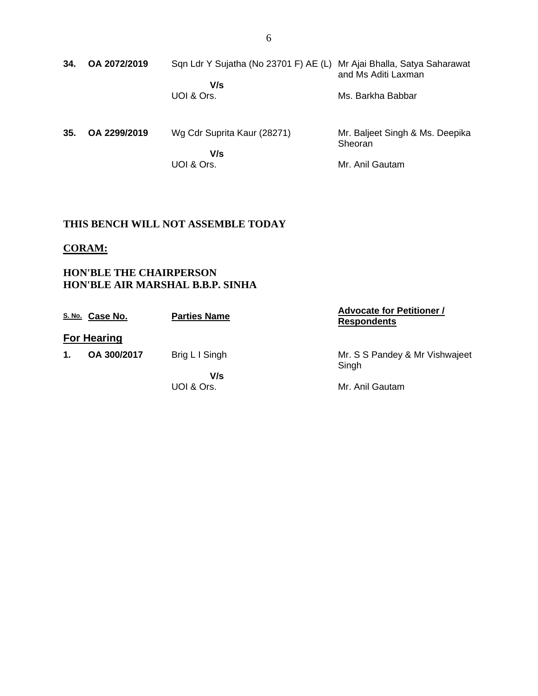| 34. | OA 2072/2019 | Sqn Ldr Y Sujatha (No 23701 F) AE (L) Mr Ajai Bhalla, Satya Saharawat | and Ms Aditi Laxman                        |
|-----|--------------|-----------------------------------------------------------------------|--------------------------------------------|
|     |              | V/s<br>UOI & Ors.                                                     | Ms. Barkha Babbar                          |
| 35. | OA 2299/2019 | Wg Cdr Suprita Kaur (28271)                                           | Mr. Baljeet Singh & Ms. Deepika<br>Sheoran |

 **V/s** UOI & Ors.

Mr. Anil Gautam

## **THIS BENCH WILL NOT ASSEMBLE TODAY**

### **CORAM:**

### **HON'BLE THE CHAIRPERSON HON'BLE AIR MARSHAL B.B.P. SINHA**

|    | S. No. Case No.    | <b>Parties Name</b> | <b>Advocate for Petitioner /</b><br><b>Respondents</b> |
|----|--------------------|---------------------|--------------------------------------------------------|
|    | <b>For Hearing</b> |                     |                                                        |
| 1. | OA 300/2017        | Brig L I Singh      | Mr. S S Pandey & Mr Vishwajeet<br>Singh                |
|    |                    | V/s                 |                                                        |
|    |                    | UOI & Ors.          | Mr. Anil Gautam                                        |
|    |                    |                     |                                                        |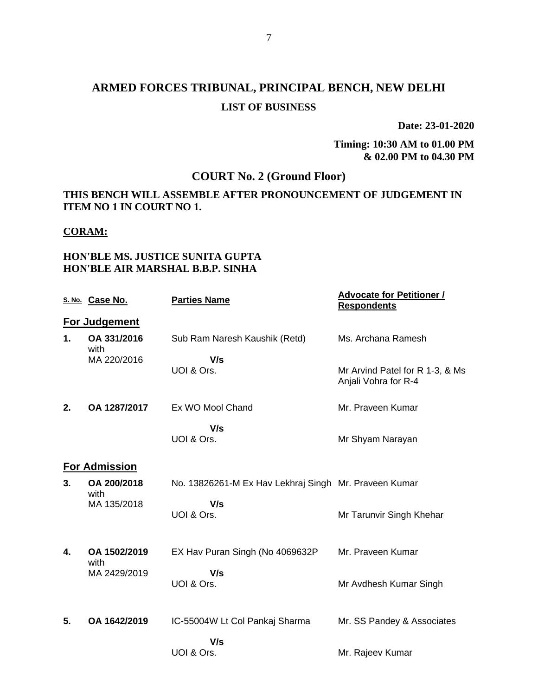## **ARMED FORCES TRIBUNAL, PRINCIPAL BENCH, NEW DELHI LIST OF BUSINESS**

**Date: 23-01-2020**

**Timing: 10:30 AM to 01.00 PM & 02.00 PM to 04.30 PM**

## **COURT No. 2 (Ground Floor)**

#### **THIS BENCH WILL ASSEMBLE AFTER PRONOUNCEMENT OF JUDGEMENT IN ITEM NO 1 IN COURT NO 1.**

#### **CORAM:**

#### **HON'BLE MS. JUSTICE SUNITA GUPTA HON'BLE AIR MARSHAL B.B.P. SINHA**

|    | S. No. Case No.      | <b>Parties Name</b>                                   | <b>Advocate for Petitioner /</b><br><b>Respondents</b>  |
|----|----------------------|-------------------------------------------------------|---------------------------------------------------------|
|    | For Judgement        |                                                       |                                                         |
| 1. | OA 331/2016<br>with  | Sub Ram Naresh Kaushik (Retd)                         | Ms. Archana Ramesh                                      |
|    | MA 220/2016          | V/s<br>UOI & Ors.                                     | Mr Arvind Patel for R 1-3, & Ms<br>Anjali Vohra for R-4 |
| 2. | OA 1287/2017         | Ex WO Mool Chand                                      | Mr. Praveen Kumar                                       |
|    |                      | V/s<br>UOI & Ors.                                     | Mr Shyam Narayan                                        |
|    | <b>For Admission</b> |                                                       |                                                         |
| 3. | OA 200/2018<br>with  | No. 13826261-M Ex Hav Lekhraj Singh Mr. Praveen Kumar |                                                         |
|    | MA 135/2018          | V/s<br>UOI & Ors.                                     | Mr Tarunvir Singh Khehar                                |
| 4. | OA 1502/2019<br>with | EX Hav Puran Singh (No 4069632P)                      | Mr. Praveen Kumar                                       |
|    | MA 2429/2019         | V/s<br>UOI & Ors.                                     | Mr Avdhesh Kumar Singh                                  |
| 5. | OA 1642/2019         | IC-55004W Lt Col Pankaj Sharma                        | Mr. SS Pandey & Associates                              |
|    |                      | V/s                                                   |                                                         |
|    |                      | UOI & Ors.                                            | Mr. Rajeev Kumar                                        |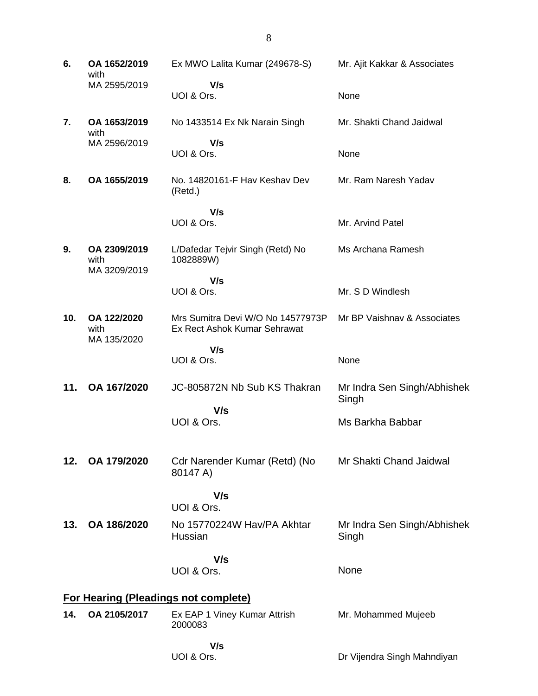**6. OA 1652/2019** with MA 2595/2019 Ex MWO Lalita Kumar (249678-S)  **V/s** UOI & Ors. Mr. Ajit Kakkar & Associates None **7. OA 1653/2019** with MA 2596/2019 No 1433514 Ex Nk Narain Singh  **V/s** UOI & Ors. Mr. Shakti Chand Jaidwal **None 8. OA 1655/2019** No. 14820161-F Hav Keshav Dev (Retd.)  **V/s** UOI & Ors. Mr. Ram Naresh Yadav Mr. Arvind Patel **9. OA 2309/2019** with MA 3209/2019 L/Dafedar Tejvir Singh (Retd) No 1082889W)  **V/s** UOI & Ors. Ms Archana Ramesh Mr. S D Windlesh **10. OA 122/2020** with MA 135/2020 Mrs Sumitra Devi W/O No 14577973P Ex Rect Ashok Kumar Sehrawat  **V/s** UOI & Ors. Mr BP Vaishnav & Associates None **11. OA 167/2020** JC-805872N Nb Sub KS Thakran  **V/s** UOI & Ors. Mr Indra Sen Singh/Abhishek Singh Ms Barkha Babbar **12. OA 179/2020** Cdr Narender Kumar (Retd) (No 80147 A)  **V/s** UOI & Ors. Mr Shakti Chand Jaidwal **13. OA 186/2020** No 15770224W Hav/PA Akhtar Hussian  **V/s** UOI & Ors. Mr Indra Sen Singh/Abhishek Singh None **For Hearing (Pleadings not complete) 14. OA 2105/2017** Ex EAP 1 Viney Kumar Attrish 2000083 Mr. Mohammed Mujeeb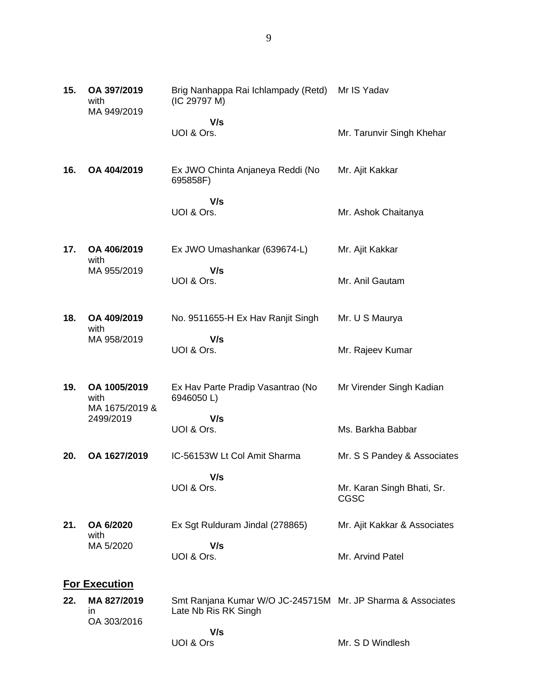| 15. | OA 397/2019<br>with<br>MA 949/2019     | Brig Nanhappa Rai Ichlampady (Retd)<br>(IC 29797 M)                                 | Mr IS Yadav                               |
|-----|----------------------------------------|-------------------------------------------------------------------------------------|-------------------------------------------|
|     |                                        | V/s<br>UOI & Ors.                                                                   | Mr. Tarunvir Singh Khehar                 |
| 16. | OA 404/2019                            | Ex JWO Chinta Anjaneya Reddi (No<br>695858F)                                        | Mr. Ajit Kakkar                           |
|     |                                        | V/s<br>UOI & Ors.                                                                   | Mr. Ashok Chaitanya                       |
| 17. | OA 406/2019<br>with                    | Ex JWO Umashankar (639674-L)                                                        | Mr. Ajit Kakkar                           |
|     | MA 955/2019                            | V/s<br>UOI & Ors.                                                                   | Mr. Anil Gautam                           |
| 18. | OA 409/2019<br>with                    | No. 9511655-H Ex Hav Ranjit Singh                                                   | Mr. U S Maurya                            |
|     | MA 958/2019                            | V/s<br>UOI & Ors.                                                                   | Mr. Rajeev Kumar                          |
| 19. | OA 1005/2019<br>with<br>MA 1675/2019 & | Ex Hav Parte Pradip Vasantrao (No<br>6946050L)                                      | Mr Virender Singh Kadian                  |
|     | 2499/2019                              | V/s<br>UOI & Ors.                                                                   | Ms. Barkha Babbar                         |
| 20. | OA 1627/2019                           | IC-56153W Lt Col Amit Sharma                                                        | Mr. S S Pandey & Associates               |
|     |                                        | V/s<br>UOI & Ors.                                                                   | Mr. Karan Singh Bhati, Sr.<br><b>CGSC</b> |
| 21. | OA 6/2020<br>with                      | Ex Sgt Rulduram Jindal (278865)                                                     | Mr. Ajit Kakkar & Associates              |
|     | MA 5/2020                              | V/s<br>UOI & Ors.                                                                   | Mr. Arvind Patel                          |
|     | <b>For Execution</b>                   |                                                                                     |                                           |
| 22. | MA 827/2019<br>ın<br>OA 303/2016       | Smt Ranjana Kumar W/O JC-245715M Mr. JP Sharma & Associates<br>Late Nb Ris RK Singh |                                           |
|     |                                        | V/s                                                                                 |                                           |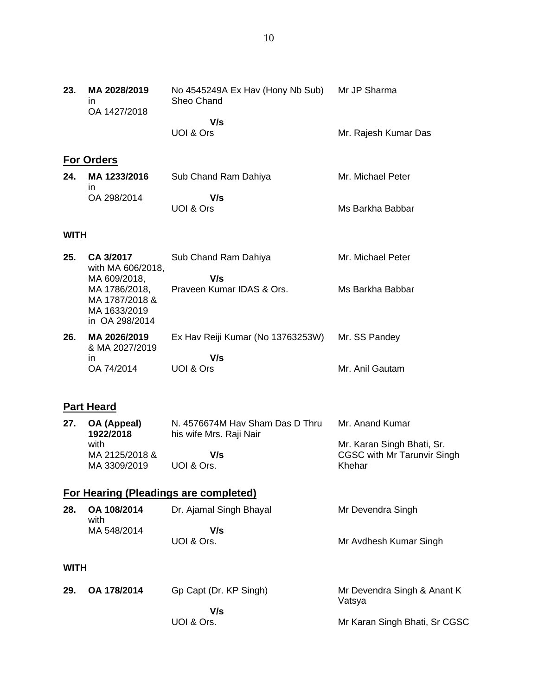| 23.         | MA 2028/2019<br>ın<br>OA 1427/2018                                                | No 4545249A Ex Hav (Hony Nb Sub)<br>Sheo Chand<br>V/s<br>UOI & Ors | Mr JP Sharma<br>Mr. Rajesh Kumar Das                             |
|-------------|-----------------------------------------------------------------------------------|--------------------------------------------------------------------|------------------------------------------------------------------|
|             |                                                                                   |                                                                    |                                                                  |
|             | <b>For Orders</b>                                                                 |                                                                    |                                                                  |
| 24.         | MA 1233/2016<br>in                                                                | Sub Chand Ram Dahiya                                               | Mr. Michael Peter                                                |
|             | OA 298/2014                                                                       | V/s<br>UOI & Ors                                                   | Ms Barkha Babbar                                                 |
| <b>WITH</b> |                                                                                   |                                                                    |                                                                  |
| 25.         | CA 3/2017<br>with MA 606/2018,                                                    | Sub Chand Ram Dahiya<br>V/s                                        | Mr. Michael Peter                                                |
|             | MA 609/2018,<br>MA 1786/2018,<br>MA 1787/2018 &<br>MA 1633/2019<br>in OA 298/2014 | Praveen Kumar IDAS & Ors.                                          | Ms Barkha Babbar                                                 |
| 26.         | MA 2026/2019<br>& MA 2027/2019                                                    | Ex Hav Reiji Kumar (No 13763253W)                                  | Mr. SS Pandey                                                    |
|             | in<br>OA 74/2014                                                                  | V/s<br>UOI & Ors                                                   | Mr. Anil Gautam                                                  |
|             | <b>Part Heard</b>                                                                 |                                                                    |                                                                  |
| 27.         | OA (Appeal)                                                                       | N. 4576674M Hav Sham Das D Thru                                    | Mr. Anand Kumar                                                  |
|             | 1922/2018                                                                         | his wife Mrs. Raji Nair                                            |                                                                  |
|             | with<br>MA 2125/2018 &                                                            | V/s                                                                | Mr. Karan Singh Bhati, Sr.<br><b>CGSC with Mr Tarunvir Singh</b> |
|             | MA 3309/2019                                                                      | UOI & Ors.                                                         | Khehar                                                           |
|             |                                                                                   | <b>For Hearing (Pleadings are completed)</b>                       |                                                                  |
| 28.         | OA 108/2014<br>with                                                               | Dr. Ajamal Singh Bhayal                                            | Mr Devendra Singh                                                |
|             | MA 548/2014                                                                       | V/s                                                                |                                                                  |

Mr Avdhesh Kumar Singh

Mr Devendra Singh & Anant K

Mr Karan Singh Bhati, Sr CGSC

Vatsya

UOI & Ors.

UOI & Ors.

 **V/s**

**29. OA 178/2014** Gp Capt (Dr. KP Singh)

**WITH**

### 10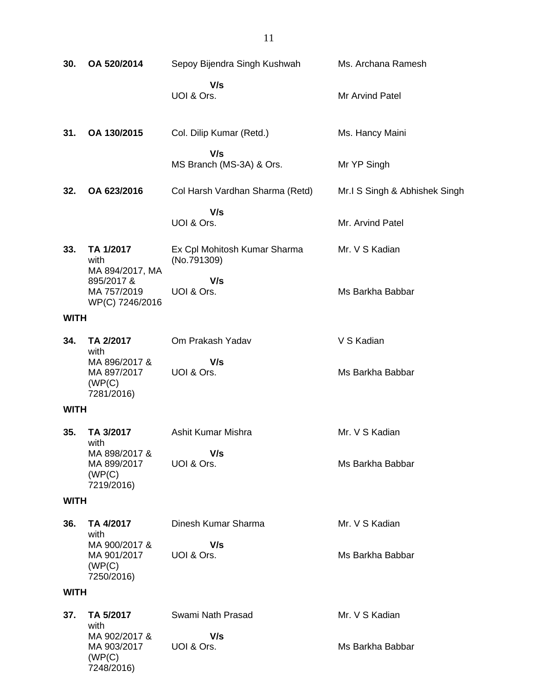| 30.         | OA 520/2014                                                                          | Sepoy Bijendra Singh Kushwah                | Ms. Archana Ramesh            |
|-------------|--------------------------------------------------------------------------------------|---------------------------------------------|-------------------------------|
|             |                                                                                      | V/s<br>UOI & Ors.                           | Mr Arvind Patel               |
| 31.         | OA 130/2015                                                                          | Col. Dilip Kumar (Retd.)                    | Ms. Hancy Maini               |
|             |                                                                                      | V/s<br>MS Branch (MS-3A) & Ors.             | Mr YP Singh                   |
| 32.         | OA 623/2016                                                                          | Col Harsh Vardhan Sharma (Retd)             | Mr.I S Singh & Abhishek Singh |
|             |                                                                                      | V/s<br>UOI & Ors.                           | Mr. Arvind Patel              |
| 33.         | TA 1/2017<br>with<br>MA 894/2017, MA<br>895/2017 &<br>MA 757/2019<br>WP(C) 7246/2016 | Ex Cpl Mohitosh Kumar Sharma<br>(No.791309) | Mr. V S Kadian                |
|             |                                                                                      | V/s<br>UOI & Ors.                           | Ms Barkha Babbar              |
| <b>WITH</b> |                                                                                      |                                             |                               |
| 34.         | TA 2/2017<br>with<br>MA 896/2017 &<br>MA 897/2017<br>(WP(C)<br>7281/2016)            | Om Prakash Yadav                            | V S Kadian                    |
|             |                                                                                      | V/s<br>UOI & Ors.                           | Ms Barkha Babbar              |
| <b>WITH</b> |                                                                                      |                                             |                               |
| 35.         | TA 3/2017<br>with                                                                    | Ashit Kumar Mishra                          | Mr. V S Kadian                |
|             | MA 898/2017 &<br>MA 899/2017<br>(WP(C)<br>7219/2016)                                 | V/s<br>UOI & Ors.                           | Ms Barkha Babbar              |
| <b>WITH</b> |                                                                                      |                                             |                               |
| 36.         | TA 4/2017<br>with                                                                    | Dinesh Kumar Sharma                         | Mr. V S Kadian                |
|             | MA 900/2017 &<br>MA 901/2017<br>(WP(C)<br>7250/2016)                                 | V/s<br>UOI & Ors.                           | Ms Barkha Babbar              |
| <b>WITH</b> |                                                                                      |                                             |                               |
| 37.         | TA 5/2017<br>with                                                                    | Swami Nath Prasad                           | Mr. V S Kadian                |
|             | MA 902/2017 &<br>MA 903/2017<br>(WP(C)<br>7248/2016)                                 | V/s<br>UOI & Ors.                           | Ms Barkha Babbar              |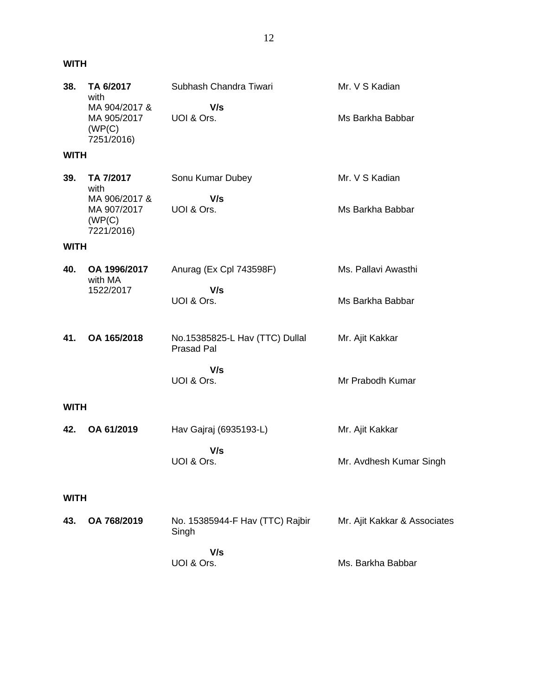### **WITH**

| 38.         | TA 6/2017<br>with                                     | Subhash Chandra Tiwari                              | Mr. V S Kadian               |
|-------------|-------------------------------------------------------|-----------------------------------------------------|------------------------------|
|             | MA 904/2017 &<br>MA 905/2017<br>(WP(C)<br>7251/2016)  | V/s<br>UOI & Ors.                                   | Ms Barkha Babbar             |
| <b>WITH</b> |                                                       |                                                     |                              |
| 39.         | TA 7/2017<br>with                                     | Sonu Kumar Dubey                                    | Mr. V S Kadian               |
|             | MA 906/2017 &<br>MA 907/2017<br>(WP(C))<br>7221/2016) | V/s<br>UOI & Ors.                                   | Ms Barkha Babbar             |
| <b>WITH</b> |                                                       |                                                     |                              |
| 40.         | OA 1996/2017<br>with MA                               | Anurag (Ex Cpl 743598F)                             | Ms. Pallavi Awasthi          |
|             | 1522/2017                                             | V/s<br>UOI & Ors.                                   | Ms Barkha Babbar             |
| 41.         | OA 165/2018                                           | No.15385825-L Hav (TTC) Dullal<br><b>Prasad Pal</b> | Mr. Ajit Kakkar              |
|             |                                                       | V/s<br>UOI & Ors.                                   | Mr Prabodh Kumar             |
| <b>WITH</b> |                                                       |                                                     |                              |
| 42.         | OA 61/2019                                            | Hav Gajraj (6935193-L)                              | Mr. Ajit Kakkar              |
|             |                                                       | V/s<br>UOI & Ors.                                   | Mr. Avdhesh Kumar Singh      |
| <b>WITH</b> |                                                       |                                                     |                              |
| 43.         | OA 768/2019                                           | No. 15385944-F Hav (TTC) Rajbir<br>Singh            | Mr. Ajit Kakkar & Associates |
|             |                                                       | V/s<br>UOI & Ors.                                   | Ms. Barkha Babbar            |
|             |                                                       |                                                     |                              |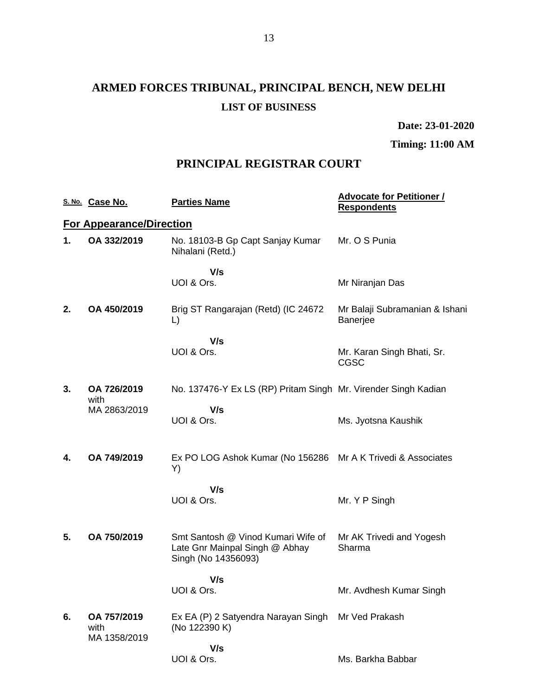# **ARMED FORCES TRIBUNAL, PRINCIPAL BENCH, NEW DELHI LIST OF BUSINESS**

**Date: 23-01-2020**

**Timing: 11:00 AM**

### **PRINCIPAL REGISTRAR COURT**

|    | S. No. Case No.                     | <b>Parties Name</b>                                                                         | <b>Advocate for Petitioner /</b><br><b>Respondents</b> |
|----|-------------------------------------|---------------------------------------------------------------------------------------------|--------------------------------------------------------|
|    | <b>For Appearance/Direction</b>     |                                                                                             |                                                        |
| 1. | OA 332/2019                         | No. 18103-B Gp Capt Sanjay Kumar<br>Nihalani (Retd.)                                        | Mr. O S Punia                                          |
|    |                                     | V/s<br>UOI & Ors.                                                                           | Mr Niranjan Das                                        |
| 2. | OA 450/2019                         | Brig ST Rangarajan (Retd) (IC 24672<br>L)                                                   | Mr Balaji Subramanian & Ishani<br><b>Banerjee</b>      |
|    |                                     | V/s<br>UOI & Ors.                                                                           | Mr. Karan Singh Bhati, Sr.<br>CGSC                     |
| 3. | OA 726/2019<br>with                 | No. 137476-Y Ex LS (RP) Pritam Singh Mr. Virender Singh Kadian                              |                                                        |
|    | MA 2863/2019                        | V/s<br>UOI & Ors.                                                                           | Ms. Jyotsna Kaushik                                    |
| 4. | OA 749/2019                         | Ex PO LOG Ashok Kumar (No 156286<br>Y)                                                      | Mr A K Trivedi & Associates                            |
|    |                                     | V/s<br>UOI & Ors.                                                                           | Mr. Y P Singh                                          |
| 5. | OA 750/2019                         | Smt Santosh @ Vinod Kumari Wife of<br>Late Gnr Mainpal Singh @ Abhay<br>Singh (No 14356093) | Mr AK Trivedi and Yogesh<br>Sharma                     |
|    |                                     | V/s<br>UOI & Ors.                                                                           | Mr. Avdhesh Kumar Singh                                |
| 6. | OA 757/2019<br>with<br>MA 1358/2019 | Ex EA (P) 2 Satyendra Narayan Singh<br>(No 122390 K)                                        | Mr Ved Prakash                                         |
|    |                                     | V/s<br>UOI & Ors.                                                                           | Ms. Barkha Babbar                                      |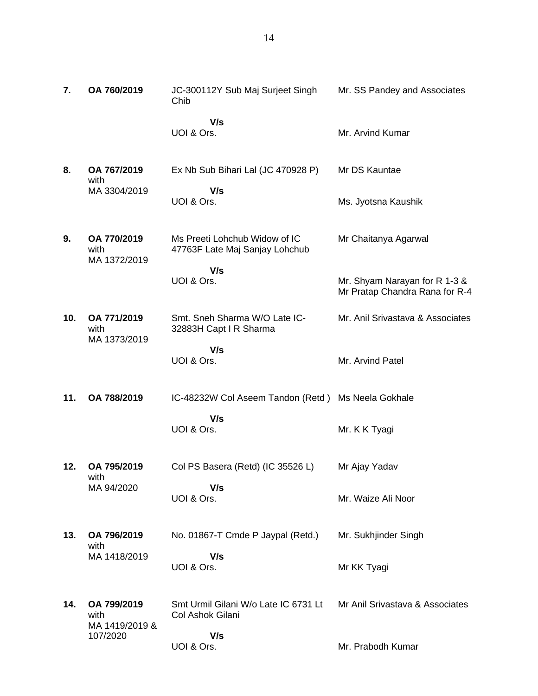| 7.  | OA 760/2019                                       | JC-300112Y Sub Maj Surjeet Singh<br>Chib                        | Mr. SS Pandey and Associates                                    |
|-----|---------------------------------------------------|-----------------------------------------------------------------|-----------------------------------------------------------------|
|     |                                                   | V/s<br>UOI & Ors.                                               | Mr. Arvind Kumar                                                |
| 8.  | OA 767/2019<br>with                               | Ex Nb Sub Bihari Lal (JC 470928 P)                              | Mr DS Kauntae                                                   |
|     | MA 3304/2019                                      | V/s<br>UOI & Ors.                                               | Ms. Jyotsna Kaushik                                             |
| 9.  | OA 770/2019<br>with<br>MA 1372/2019               | Ms Preeti Lohchub Widow of IC<br>47763F Late Maj Sanjay Lohchub | Mr Chaitanya Agarwal                                            |
|     |                                                   | V/s<br>UOI & Ors.                                               | Mr. Shyam Narayan for R 1-3 &<br>Mr Pratap Chandra Rana for R-4 |
| 10. | OA 771/2019<br>with<br>MA 1373/2019               | Smt. Sneh Sharma W/O Late IC-<br>32883H Capt I R Sharma         | Mr. Anil Srivastava & Associates                                |
|     |                                                   | V/s<br>UOI & Ors.                                               | Mr. Arvind Patel                                                |
| 11. | OA 788/2019                                       | IC-48232W Col Aseem Tandon (Retd) Ms Neela Gokhale              |                                                                 |
|     |                                                   | V/s<br>UOI & Ors.                                               | Mr. K K Tyagi                                                   |
| 12. | OA 795/2019<br>with                               | Col PS Basera (Retd) (IC 35526 L)                               | Mr Ajay Yadav                                                   |
|     | MA 94/2020                                        | V/s<br>UOI & Ors.                                               | Mr. Waize Ali Noor                                              |
| 13. | OA 796/2019<br>with<br>MA 1418/2019               | No. 01867-T Cmde P Jaypal (Retd.)                               | Mr. Sukhjinder Singh                                            |
|     |                                                   | V/s<br>UOI & Ors.                                               | Mr KK Tyagi                                                     |
| 14. | OA 799/2019<br>with<br>MA 1419/2019 &<br>107/2020 | Smt Urmil Gilani W/o Late IC 6731 Lt<br>Col Ashok Gilani        | Mr Anil Srivastava & Associates                                 |
|     |                                                   | V/s<br>UOI & Ors.                                               | Mr. Prabodh Kumar                                               |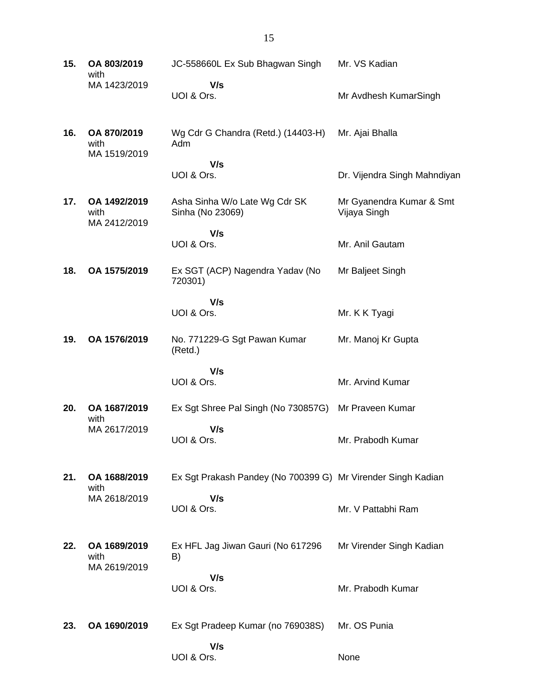| 15. | OA 803/2019<br>with                  | JC-558660L Ex Sub Bhagwan Singh                              | Mr. VS Kadian                            |
|-----|--------------------------------------|--------------------------------------------------------------|------------------------------------------|
|     | MA 1423/2019                         | V/s<br>UOI & Ors.                                            | Mr Avdhesh KumarSingh                    |
| 16. | OA 870/2019<br>with<br>MA 1519/2019  | Wg Cdr G Chandra (Retd.) (14403-H)<br>Adm                    | Mr. Ajai Bhalla                          |
|     |                                      | V/s<br>UOI & Ors.                                            | Dr. Vijendra Singh Mahndiyan             |
| 17. | OA 1492/2019<br>with<br>MA 2412/2019 | Asha Sinha W/o Late Wg Cdr SK<br>Sinha (No 23069)            | Mr Gyanendra Kumar & Smt<br>Vijaya Singh |
|     |                                      | V/s<br>UOI & Ors.                                            | Mr. Anil Gautam                          |
| 18. | OA 1575/2019                         | Ex SGT (ACP) Nagendra Yadav (No<br>720301)                   | Mr Baljeet Singh                         |
|     |                                      | V/s<br>UOI & Ors.                                            | Mr. K K Tyagi                            |
| 19. | OA 1576/2019                         | No. 771229-G Sgt Pawan Kumar<br>(Retd.)                      | Mr. Manoj Kr Gupta                       |
|     |                                      | V/s<br>UOI & Ors.                                            | Mr. Arvind Kumar                         |
| 20. | OA 1687/2019<br>with                 | Ex Sgt Shree Pal Singh (No 730857G)                          | Mr Praveen Kumar                         |
|     | MA 2617/2019                         | V/s<br>UOI & Ors.                                            | Mr. Prabodh Kumar                        |
| 21. | OA 1688/2019<br>with                 | Ex Sgt Prakash Pandey (No 700399 G) Mr Virender Singh Kadian |                                          |
|     | MA 2618/2019                         | V/s<br>UOI & Ors.                                            | Mr. V Pattabhi Ram                       |
| 22. | OA 1689/2019<br>with<br>MA 2619/2019 | Ex HFL Jag Jiwan Gauri (No 617296<br>B)                      | Mr Virender Singh Kadian                 |
|     |                                      | V/s<br>UOI & Ors.                                            | Mr. Prabodh Kumar                        |
| 23. | OA 1690/2019                         | Ex Sgt Pradeep Kumar (no 769038S)                            | Mr. OS Punia                             |
|     |                                      | V/s<br>UOI & Ors.                                            | None                                     |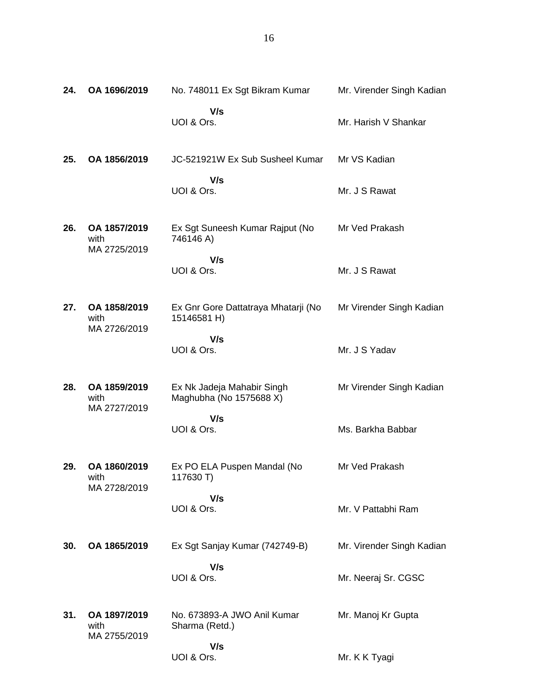| 24. | OA 1696/2019                         | No. 748011 Ex Sgt Bikram Kumar                        | Mr. Virender Singh Kadian |
|-----|--------------------------------------|-------------------------------------------------------|---------------------------|
|     |                                      | V/s<br>UOI & Ors.                                     | Mr. Harish V Shankar      |
| 25. | OA 1856/2019                         | JC-521921W Ex Sub Susheel Kumar                       | Mr VS Kadian              |
|     |                                      | V/s<br>UOI & Ors.                                     | Mr. J S Rawat             |
| 26. | OA 1857/2019<br>with<br>MA 2725/2019 | Ex Sgt Suneesh Kumar Rajput (No<br>746146 A)          | Mr Ved Prakash            |
|     |                                      | V/s<br>UOI & Ors.                                     | Mr. J S Rawat             |
| 27. | OA 1858/2019<br>with<br>MA 2726/2019 | Ex Gnr Gore Dattatraya Mhatarji (No<br>15146581 H)    | Mr Virender Singh Kadian  |
|     |                                      | V/s<br>UOI & Ors.                                     | Mr. J S Yadav             |
| 28. | OA 1859/2019<br>with<br>MA 2727/2019 | Ex Nk Jadeja Mahabir Singh<br>Maghubha (No 1575688 X) | Mr Virender Singh Kadian  |
|     |                                      | V/s<br>UOI & Ors.                                     | Ms. Barkha Babbar         |
| 29. | OA 1860/2019<br>with                 | Ex PO ELA Puspen Mandal (No<br>117630 T)              | Mr Ved Prakash            |
|     | MA 2728/2019                         | V/s<br>UOI & Ors.                                     | Mr. V Pattabhi Ram        |
| 30. | OA 1865/2019                         | Ex Sgt Sanjay Kumar (742749-B)                        | Mr. Virender Singh Kadian |
|     |                                      | V/s<br>UOI & Ors.                                     | Mr. Neeraj Sr. CGSC       |
| 31. | OA 1897/2019<br>with<br>MA 2755/2019 | No. 673893-A JWO Anil Kumar<br>Sharma (Retd.)         | Mr. Manoj Kr Gupta        |
|     |                                      | V/s<br>UOI & Ors.                                     | Mr. K K Tyagi             |